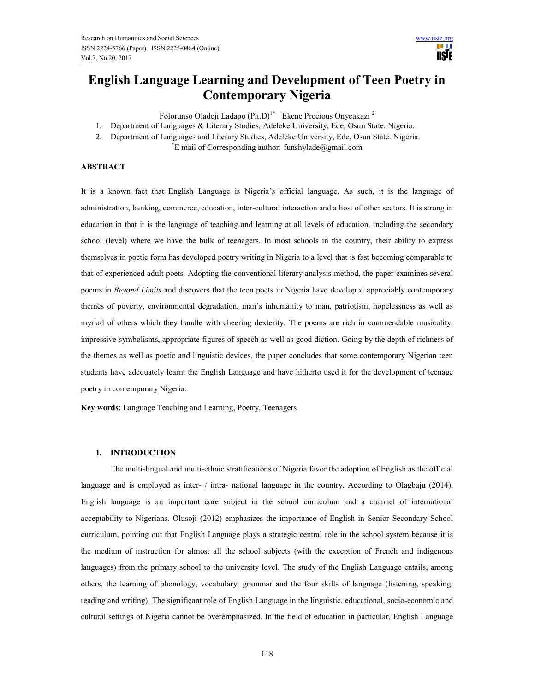W **IISTE** 

# English Language Learning and Development of Teen Poetry in Contemporary Nigeria

Folorunso Oladeji Ladapo (Ph.D)<sup>1\*</sup> Ekene Precious Onyeakazi<sup>2</sup>

- 1. Department of Languages & Literary Studies, Adeleke University, Ede, Osun State. Nigeria.
- 2. Department of Languages and Literary Studies, Adeleke University, Ede, Osun State. Nigeria.

 $\mathbb{E}$  mail of Corresponding author: funshylade@gmail.com

## ABSTRACT

It is a known fact that English Language is Nigeria's official language. As such, it is the language of administration, banking, commerce, education, inter-cultural interaction and a host of other sectors. It is strong in education in that it is the language of teaching and learning at all levels of education, including the secondary school (level) where we have the bulk of teenagers. In most schools in the country, their ability to express themselves in poetic form has developed poetry writing in Nigeria to a level that is fast becoming comparable to that of experienced adult poets. Adopting the conventional literary analysis method, the paper examines several poems in Beyond Limits and discovers that the teen poets in Nigeria have developed appreciably contemporary themes of poverty, environmental degradation, man's inhumanity to man, patriotism, hopelessness as well as myriad of others which they handle with cheering dexterity. The poems are rich in commendable musicality, impressive symbolisms, appropriate figures of speech as well as good diction. Going by the depth of richness of the themes as well as poetic and linguistic devices, the paper concludes that some contemporary Nigerian teen students have adequately learnt the English Language and have hitherto used it for the development of teenage poetry in contemporary Nigeria.

Key words: Language Teaching and Learning, Poetry, Teenagers

## 1. INTRODUCTION

The multi-lingual and multi-ethnic stratifications of Nigeria favor the adoption of English as the official language and is employed as inter- / intra- national language in the country. According to Olagbaju (2014), English language is an important core subject in the school curriculum and a channel of international acceptability to Nigerians. Olusoji (2012) emphasizes the importance of English in Senior Secondary School curriculum, pointing out that English Language plays a strategic central role in the school system because it is the medium of instruction for almost all the school subjects (with the exception of French and indigenous languages) from the primary school to the university level. The study of the English Language entails, among others, the learning of phonology, vocabulary, grammar and the four skills of language (listening, speaking, reading and writing). The significant role of English Language in the linguistic, educational, socio-economic and cultural settings of Nigeria cannot be overemphasized. In the field of education in particular, English Language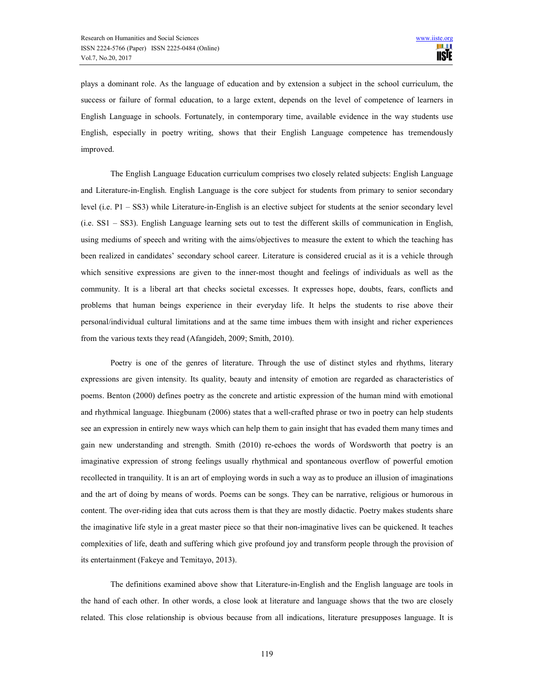plays a dominant role. As the language of education and by extension a subject in the school curriculum, the success or failure of formal education, to a large extent, depends on the level of competence of learners in English Language in schools. Fortunately, in contemporary time, available evidence in the way students use English, especially in poetry writing, shows that their English Language competence has tremendously improved.

 The English Language Education curriculum comprises two closely related subjects: English Language and Literature-in-English. English Language is the core subject for students from primary to senior secondary level (i.e. P1 – SS3) while Literature-in-English is an elective subject for students at the senior secondary level (i.e. SS1 – SS3). English Language learning sets out to test the different skills of communication in English, using mediums of speech and writing with the aims/objectives to measure the extent to which the teaching has been realized in candidates' secondary school career. Literature is considered crucial as it is a vehicle through which sensitive expressions are given to the inner-most thought and feelings of individuals as well as the community. It is a liberal art that checks societal excesses. It expresses hope, doubts, fears, conflicts and problems that human beings experience in their everyday life. It helps the students to rise above their personal/individual cultural limitations and at the same time imbues them with insight and richer experiences from the various texts they read (Afangideh, 2009; Smith, 2010).

 Poetry is one of the genres of literature. Through the use of distinct styles and rhythms, literary expressions are given intensity. Its quality, beauty and intensity of emotion are regarded as characteristics of poems. Benton (2000) defines poetry as the concrete and artistic expression of the human mind with emotional and rhythmical language. Ihiegbunam (2006) states that a well-crafted phrase or two in poetry can help students see an expression in entirely new ways which can help them to gain insight that has evaded them many times and gain new understanding and strength. Smith (2010) re-echoes the words of Wordsworth that poetry is an imaginative expression of strong feelings usually rhythmical and spontaneous overflow of powerful emotion recollected in tranquility. It is an art of employing words in such a way as to produce an illusion of imaginations and the art of doing by means of words. Poems can be songs. They can be narrative, religious or humorous in content. The over-riding idea that cuts across them is that they are mostly didactic. Poetry makes students share the imaginative life style in a great master piece so that their non-imaginative lives can be quickened. It teaches complexities of life, death and suffering which give profound joy and transform people through the provision of its entertainment (Fakeye and Temitayo, 2013).

 The definitions examined above show that Literature-in-English and the English language are tools in the hand of each other. In other words, a close look at literature and language shows that the two are closely related. This close relationship is obvious because from all indications, literature presupposes language. It is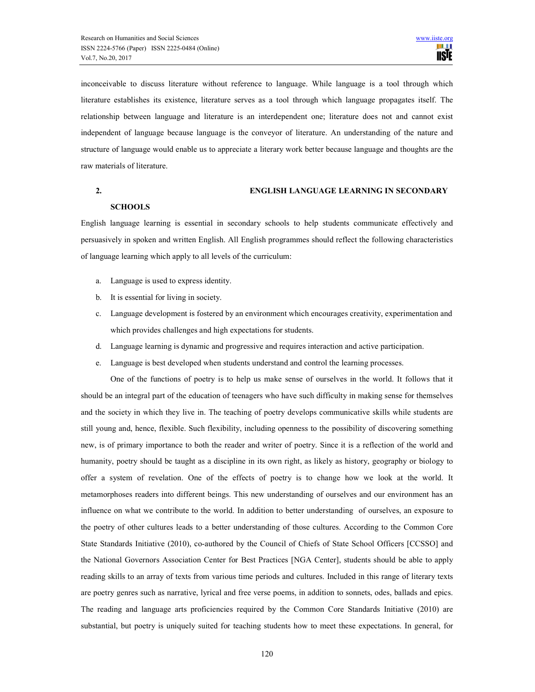inconceivable to discuss literature without reference to language. While language is a tool through which literature establishes its existence, literature serves as a tool through which language propagates itself. The relationship between language and literature is an interdependent one; literature does not and cannot exist independent of language because language is the conveyor of literature. An understanding of the nature and structure of language would enable us to appreciate a literary work better because language and thoughts are the raw materials of literature.

## 2. ENGLISH LANGUAGE LEARNING IN SECONDARY

## **SCHOOLS**

English language learning is essential in secondary schools to help students communicate effectively and persuasively in spoken and written English. All English programmes should reflect the following characteristics of language learning which apply to all levels of the curriculum:

- a. Language is used to express identity.
- b. It is essential for living in society.
- c. Language development is fostered by an environment which encourages creativity, experimentation and which provides challenges and high expectations for students.
- d. Language learning is dynamic and progressive and requires interaction and active participation.
- e. Language is best developed when students understand and control the learning processes.

One of the functions of poetry is to help us make sense of ourselves in the world. It follows that it should be an integral part of the education of teenagers who have such difficulty in making sense for themselves and the society in which they live in. The teaching of poetry develops communicative skills while students are still young and, hence, flexible. Such flexibility, including openness to the possibility of discovering something new, is of primary importance to both the reader and writer of poetry. Since it is a reflection of the world and humanity, poetry should be taught as a discipline in its own right, as likely as history, geography or biology to offer a system of revelation. One of the effects of poetry is to change how we look at the world. It metamorphoses readers into different beings. This new understanding of ourselves and our environment has an influence on what we contribute to the world. In addition to better understanding of ourselves, an exposure to the poetry of other cultures leads to a better understanding of those cultures. According to the Common Core State Standards Initiative (2010), co-authored by the Council of Chiefs of State School Officers [CCSSO] and the National Governors Association Center for Best Practices [NGA Center], students should be able to apply reading skills to an array of texts from various time periods and cultures. Included in this range of literary texts are poetry genres such as narrative, lyrical and free verse poems, in addition to sonnets, odes, ballads and epics. The reading and language arts proficiencies required by the Common Core Standards Initiative (2010) are substantial, but poetry is uniquely suited for teaching students how to meet these expectations. In general, for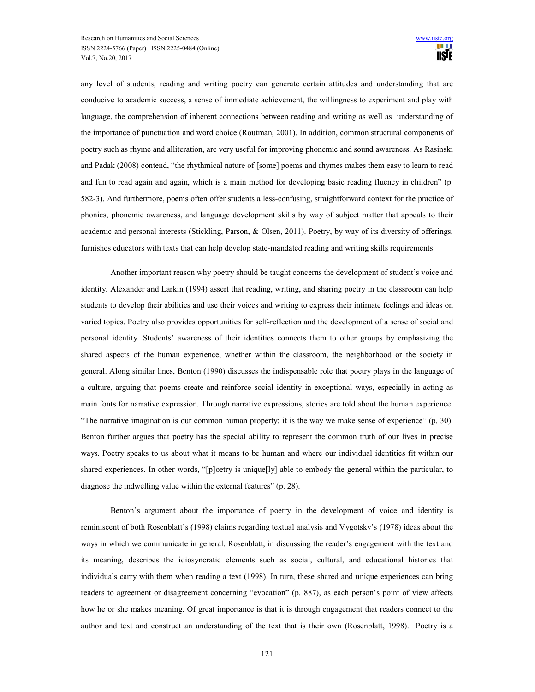any level of students, reading and writing poetry can generate certain attitudes and understanding that are conducive to academic success, a sense of immediate achievement, the willingness to experiment and play with language, the comprehension of inherent connections between reading and writing as well as understanding of the importance of punctuation and word choice (Routman, 2001). In addition, common structural components of poetry such as rhyme and alliteration, are very useful for improving phonemic and sound awareness. As Rasinski and Padak (2008) contend, "the rhythmical nature of [some] poems and rhymes makes them easy to learn to read and fun to read again and again, which is a main method for developing basic reading fluency in children" (p. 582-3). And furthermore, poems often offer students a less-confusing, straightforward context for the practice of phonics, phonemic awareness, and language development skills by way of subject matter that appeals to their academic and personal interests (Stickling, Parson, & Olsen, 2011). Poetry, by way of its diversity of offerings, furnishes educators with texts that can help develop state-mandated reading and writing skills requirements.

 Another important reason why poetry should be taught concerns the development of student's voice and identity. Alexander and Larkin (1994) assert that reading, writing, and sharing poetry in the classroom can help students to develop their abilities and use their voices and writing to express their intimate feelings and ideas on varied topics. Poetry also provides opportunities for self-reflection and the development of a sense of social and personal identity. Students' awareness of their identities connects them to other groups by emphasizing the shared aspects of the human experience, whether within the classroom, the neighborhood or the society in general. Along similar lines, Benton (1990) discusses the indispensable role that poetry plays in the language of a culture, arguing that poems create and reinforce social identity in exceptional ways, especially in acting as main fonts for narrative expression. Through narrative expressions, stories are told about the human experience. "The narrative imagination is our common human property; it is the way we make sense of experience" (p. 30). Benton further argues that poetry has the special ability to represent the common truth of our lives in precise ways. Poetry speaks to us about what it means to be human and where our individual identities fit within our shared experiences. In other words, "[p]oetry is unique[ly] able to embody the general within the particular, to diagnose the indwelling value within the external features" (p. 28).

 Benton's argument about the importance of poetry in the development of voice and identity is reminiscent of both Rosenblatt's (1998) claims regarding textual analysis and Vygotsky's (1978) ideas about the ways in which we communicate in general. Rosenblatt, in discussing the reader's engagement with the text and its meaning, describes the idiosyncratic elements such as social, cultural, and educational histories that individuals carry with them when reading a text (1998). In turn, these shared and unique experiences can bring readers to agreement or disagreement concerning "evocation" (p. 887), as each person's point of view affects how he or she makes meaning. Of great importance is that it is through engagement that readers connect to the author and text and construct an understanding of the text that is their own (Rosenblatt, 1998). Poetry is a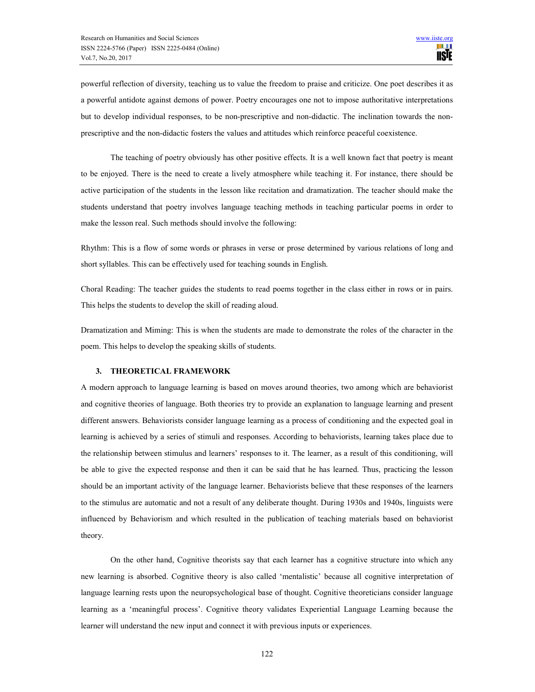powerful reflection of diversity, teaching us to value the freedom to praise and criticize. One poet describes it as a powerful antidote against demons of power. Poetry encourages one not to impose authoritative interpretations but to develop individual responses, to be non-prescriptive and non-didactic. The inclination towards the nonprescriptive and the non-didactic fosters the values and attitudes which reinforce peaceful coexistence.

The teaching of poetry obviously has other positive effects. It is a well known fact that poetry is meant to be enjoyed. There is the need to create a lively atmosphere while teaching it. For instance, there should be active participation of the students in the lesson like recitation and dramatization. The teacher should make the students understand that poetry involves language teaching methods in teaching particular poems in order to make the lesson real. Such methods should involve the following:

Rhythm: This is a flow of some words or phrases in verse or prose determined by various relations of long and short syllables. This can be effectively used for teaching sounds in English.

Choral Reading: The teacher guides the students to read poems together in the class either in rows or in pairs. This helps the students to develop the skill of reading aloud.

Dramatization and Miming: This is when the students are made to demonstrate the roles of the character in the poem. This helps to develop the speaking skills of students.

#### 3. THEORETICAL FRAMEWORK

A modern approach to language learning is based on moves around theories, two among which are behaviorist and cognitive theories of language. Both theories try to provide an explanation to language learning and present different answers. Behaviorists consider language learning as a process of conditioning and the expected goal in learning is achieved by a series of stimuli and responses. According to behaviorists, learning takes place due to the relationship between stimulus and learners' responses to it. The learner, as a result of this conditioning, will be able to give the expected response and then it can be said that he has learned. Thus, practicing the lesson should be an important activity of the language learner. Behaviorists believe that these responses of the learners to the stimulus are automatic and not a result of any deliberate thought. During 1930s and 1940s, linguists were influenced by Behaviorism and which resulted in the publication of teaching materials based on behaviorist theory.

On the other hand, Cognitive theorists say that each learner has a cognitive structure into which any new learning is absorbed. Cognitive theory is also called 'mentalistic' because all cognitive interpretation of language learning rests upon the neuropsychological base of thought. Cognitive theoreticians consider language learning as a 'meaningful process'. Cognitive theory validates Experiential Language Learning because the learner will understand the new input and connect it with previous inputs or experiences.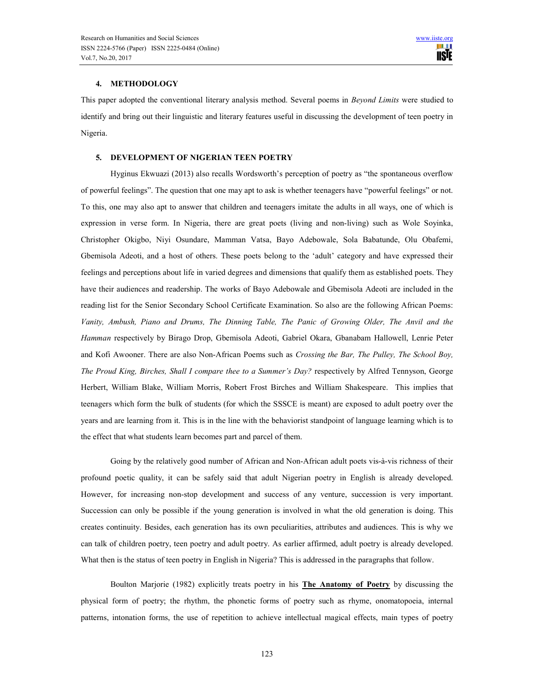#### 4. METHODOLOGY

This paper adopted the conventional literary analysis method. Several poems in Beyond Limits were studied to identify and bring out their linguistic and literary features useful in discussing the development of teen poetry in Nigeria.

## 5. DEVELOPMENT OF NIGERIAN TEEN POETRY

Hyginus Ekwuazi (2013) also recalls Wordsworth's perception of poetry as "the spontaneous overflow of powerful feelings". The question that one may apt to ask is whether teenagers have "powerful feelings" or not. To this, one may also apt to answer that children and teenagers imitate the adults in all ways, one of which is expression in verse form. In Nigeria, there are great poets (living and non-living) such as Wole Soyinka, Christopher Okigbo, Niyi Osundare, Mamman Vatsa, Bayo Adebowale, Sola Babatunde, Olu Obafemi, Gbemisola Adeoti, and a host of others. These poets belong to the 'adult' category and have expressed their feelings and perceptions about life in varied degrees and dimensions that qualify them as established poets. They have their audiences and readership. The works of Bayo Adebowale and Gbemisola Adeoti are included in the reading list for the Senior Secondary School Certificate Examination. So also are the following African Poems: Vanity, Ambush, Piano and Drums, The Dinning Table, The Panic of Growing Older, The Anvil and the Hamman respectively by Birago Drop, Gbemisola Adeoti, Gabriel Okara, Gbanabam Hallowell, Lenrie Peter and Kofi Awooner. There are also Non-African Poems such as Crossing the Bar, The Pulley, The School Boy, The Proud King, Birches, Shall I compare thee to a Summer's Day? respectively by Alfred Tennyson, George Herbert, William Blake, William Morris, Robert Frost Birches and William Shakespeare. This implies that teenagers which form the bulk of students (for which the SSSCE is meant) are exposed to adult poetry over the years and are learning from it. This is in the line with the behaviorist standpoint of language learning which is to the effect that what students learn becomes part and parcel of them.

Going by the relatively good number of African and Non-African adult poets vis-à-vis richness of their profound poetic quality, it can be safely said that adult Nigerian poetry in English is already developed. However, for increasing non-stop development and success of any venture, succession is very important. Succession can only be possible if the young generation is involved in what the old generation is doing. This creates continuity. Besides, each generation has its own peculiarities, attributes and audiences. This is why we can talk of children poetry, teen poetry and adult poetry. As earlier affirmed, adult poetry is already developed. What then is the status of teen poetry in English in Nigeria? This is addressed in the paragraphs that follow.

Boulton Marjorie (1982) explicitly treats poetry in his **The Anatomy of Poetry** by discussing the physical form of poetry; the rhythm, the phonetic forms of poetry such as rhyme, onomatopoeia, internal patterns, intonation forms, the use of repetition to achieve intellectual magical effects, main types of poetry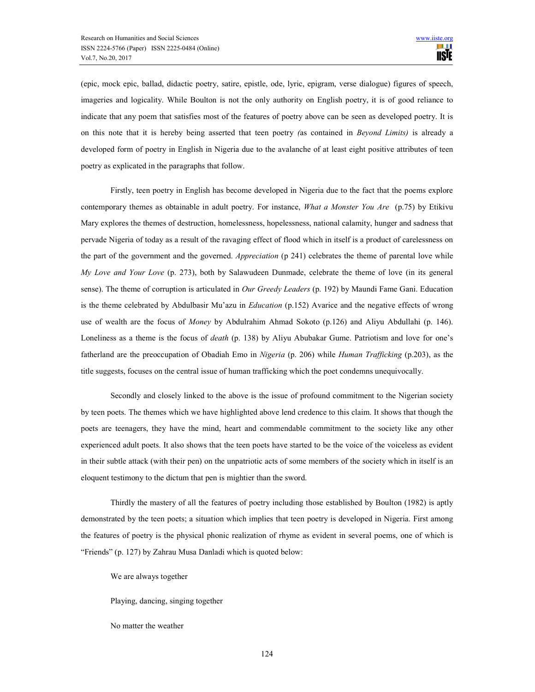(epic, mock epic, ballad, didactic poetry, satire, epistle, ode, lyric, epigram, verse dialogue) figures of speech, imageries and logicality. While Boulton is not the only authority on English poetry, it is of good reliance to indicate that any poem that satisfies most of the features of poetry above can be seen as developed poetry. It is on this note that it is hereby being asserted that teen poetry (as contained in Beyond Limits) is already a developed form of poetry in English in Nigeria due to the avalanche of at least eight positive attributes of teen poetry as explicated in the paragraphs that follow.

Firstly, teen poetry in English has become developed in Nigeria due to the fact that the poems explore contemporary themes as obtainable in adult poetry. For instance, What a Monster You Are (p.75) by Etikivu Mary explores the themes of destruction, homelessness, hopelessness, national calamity, hunger and sadness that pervade Nigeria of today as a result of the ravaging effect of flood which in itself is a product of carelessness on the part of the government and the governed. Appreciation (p 241) celebrates the theme of parental love while My Love and Your Love (p. 273), both by Salawudeen Dunmade, celebrate the theme of love (in its general sense). The theme of corruption is articulated in Our Greedy Leaders (p. 192) by Maundi Fame Gani. Education is the theme celebrated by Abdulbasir Mu'azu in Education (p.152) Avarice and the negative effects of wrong use of wealth are the focus of Money by Abdulrahim Ahmad Sokoto (p.126) and Aliyu Abdullahi (p. 146). Loneliness as a theme is the focus of *death* (p. 138) by Aliyu Abubakar Gume. Patriotism and love for one's fatherland are the preoccupation of Obadiah Emo in Nigeria (p. 206) while Human Trafficking (p.203), as the title suggests, focuses on the central issue of human trafficking which the poet condemns unequivocally.

Secondly and closely linked to the above is the issue of profound commitment to the Nigerian society by teen poets. The themes which we have highlighted above lend credence to this claim. It shows that though the poets are teenagers, they have the mind, heart and commendable commitment to the society like any other experienced adult poets. It also shows that the teen poets have started to be the voice of the voiceless as evident in their subtle attack (with their pen) on the unpatriotic acts of some members of the society which in itself is an eloquent testimony to the dictum that pen is mightier than the sword.

 Thirdly the mastery of all the features of poetry including those established by Boulton (1982) is aptly demonstrated by the teen poets; a situation which implies that teen poetry is developed in Nigeria. First among the features of poetry is the physical phonic realization of rhyme as evident in several poems, one of which is "Friends" (p. 127) by Zahrau Musa Danladi which is quoted below:

We are always together

Playing, dancing, singing together

No matter the weather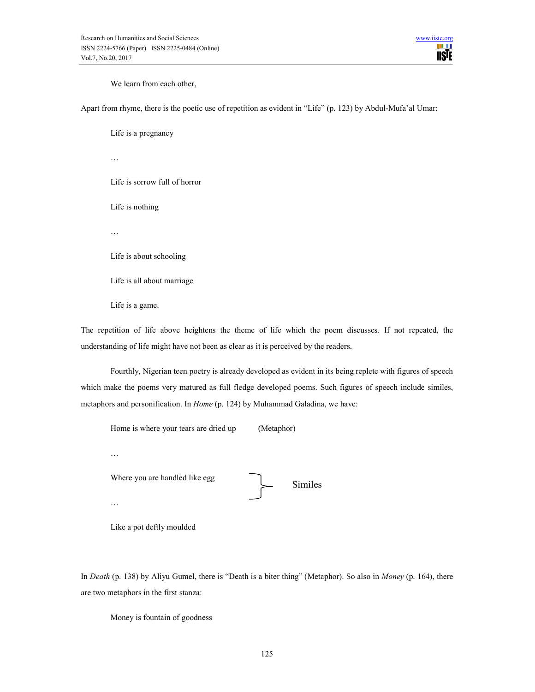We learn from each other,

Apart from rhyme, there is the poetic use of repetition as evident in "Life" (p. 123) by Abdul-Mufa'al Umar:

Life is a pregnancy

…

Life is sorrow full of horror

Life is nothing

…

Life is about schooling

Life is all about marriage

Life is a game.

The repetition of life above heightens the theme of life which the poem discusses. If not repeated, the understanding of life might have not been as clear as it is perceived by the readers.

 Fourthly, Nigerian teen poetry is already developed as evident in its being replete with figures of speech which make the poems very matured as full fledge developed poems. Such figures of speech include similes, metaphors and personification. In Home (p. 124) by Muhammad Galadina, we have:

| Home is where your tears are dried up           | (Metaphor) |                |
|-------------------------------------------------|------------|----------------|
| .<br>Where you are handled like egg<br>$\cdots$ |            | <b>Similes</b> |
|                                                 |            |                |

Like a pot deftly moulded

In *Death* (p. 138) by Aliyu Gumel, there is "Death is a biter thing" (Metaphor). So also in *Money* (p. 164), there are two metaphors in the first stanza:

Money is fountain of goodness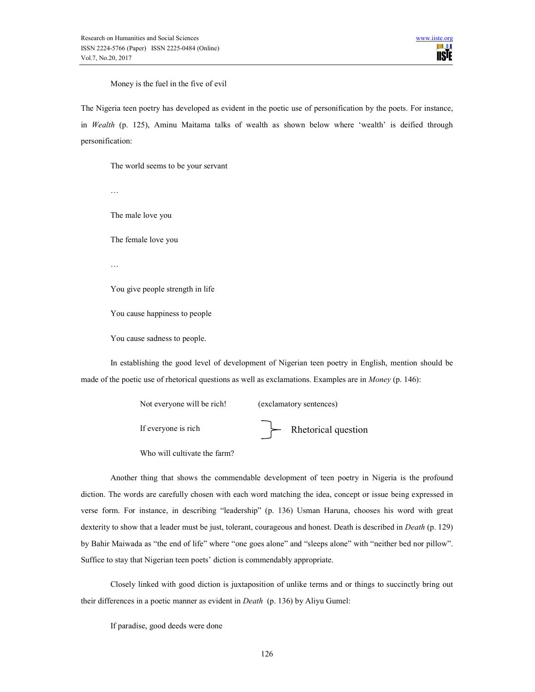Money is the fuel in the five of evil

The Nigeria teen poetry has developed as evident in the poetic use of personification by the poets. For instance, in Wealth (p. 125), Aminu Maitama talks of wealth as shown below where 'wealth' is deified through personification:

The world seems to be your servant

…

The male love you

The female love you

…

You give people strength in life

You cause happiness to people

You cause sadness to people.

In establishing the good level of development of Nigerian teen poetry in English, mention should be made of the poetic use of rhetorical questions as well as exclamations. Examples are in Money (p. 146):

| Not everyone will be rich! | (exclamatory sentences) |
|----------------------------|-------------------------|
| If everyone is rich        | Rhetorical question     |

Who will cultivate the farm?

Another thing that shows the commendable development of teen poetry in Nigeria is the profound diction. The words are carefully chosen with each word matching the idea, concept or issue being expressed in verse form. For instance, in describing "leadership" (p. 136) Usman Haruna, chooses his word with great dexterity to show that a leader must be just, tolerant, courageous and honest. Death is described in *Death* (p. 129) by Bahir Maiwada as "the end of life" where "one goes alone" and "sleeps alone" with "neither bed nor pillow". Suffice to stay that Nigerian teen poets' diction is commendably appropriate.

Closely linked with good diction is juxtaposition of unlike terms and or things to succinctly bring out their differences in a poetic manner as evident in Death (p. 136) by Aliyu Gumel:

If paradise, good deeds were done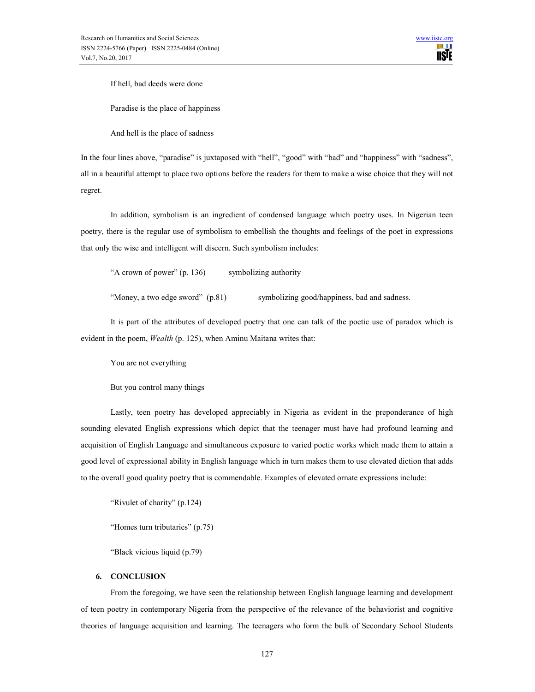If hell, bad deeds were done

Paradise is the place of happiness

And hell is the place of sadness

In the four lines above, "paradise" is juxtaposed with "hell", "good" with "bad" and "happiness" with "sadness", all in a beautiful attempt to place two options before the readers for them to make a wise choice that they will not regret.

 In addition, symbolism is an ingredient of condensed language which poetry uses. In Nigerian teen poetry, there is the regular use of symbolism to embellish the thoughts and feelings of the poet in expressions that only the wise and intelligent will discern. Such symbolism includes:

"A crown of power" (p. 136) symbolizing authority

"Money, a two edge sword" (p.81) symbolizing good/happiness, bad and sadness.

 It is part of the attributes of developed poetry that one can talk of the poetic use of paradox which is evident in the poem, Wealth (p. 125), when Aminu Maitana writes that:

You are not everything

But you control many things

Lastly, teen poetry has developed appreciably in Nigeria as evident in the preponderance of high sounding elevated English expressions which depict that the teenager must have had profound learning and acquisition of English Language and simultaneous exposure to varied poetic works which made them to attain a good level of expressional ability in English language which in turn makes them to use elevated diction that adds to the overall good quality poetry that is commendable. Examples of elevated ornate expressions include:

"Rivulet of charity" (p.124)

"Homes turn tributaries" (p.75)

"Black vicious liquid (p.79)

## 6. CONCLUSION

 From the foregoing, we have seen the relationship between English language learning and development of teen poetry in contemporary Nigeria from the perspective of the relevance of the behaviorist and cognitive theories of language acquisition and learning. The teenagers who form the bulk of Secondary School Students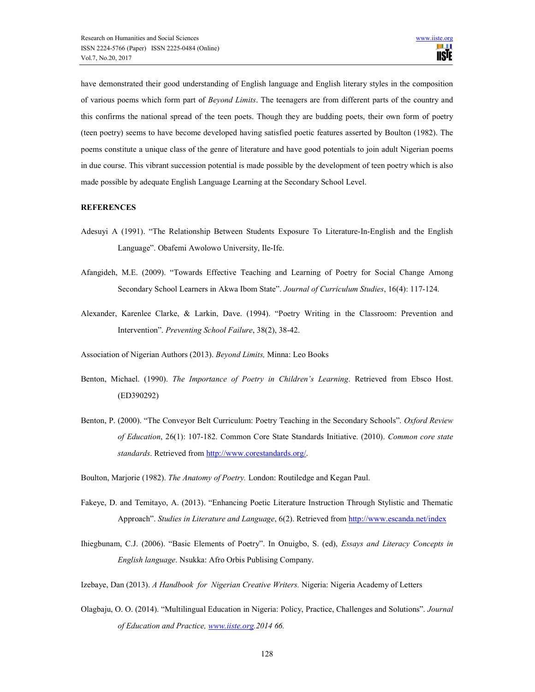have demonstrated their good understanding of English language and English literary styles in the composition of various poems which form part of Beyond Limits. The teenagers are from different parts of the country and this confirms the national spread of the teen poets. Though they are budding poets, their own form of poetry (teen poetry) seems to have become developed having satisfied poetic features asserted by Boulton (1982). The poems constitute a unique class of the genre of literature and have good potentials to join adult Nigerian poems in due course. This vibrant succession potential is made possible by the development of teen poetry which is also made possible by adequate English Language Learning at the Secondary School Level.

#### **REFERENCES**

- Adesuyi A (1991). "The Relationship Between Students Exposure To Literature-In-English and the English Language". Obafemi Awolowo University, Ile-Ife.
- Afangideh, M.E. (2009). "Towards Effective Teaching and Learning of Poetry for Social Change Among Secondary School Learners in Akwa Ibom State". Journal of Curriculum Studies, 16(4): 117-124.
- Alexander, Karenlee Clarke, & Larkin, Dave. (1994). "Poetry Writing in the Classroom: Prevention and Intervention". Preventing School Failure, 38(2), 38-42.
- Association of Nigerian Authors (2013). Beyond Limits, Minna: Leo Books
- Benton, Michael. (1990). The Importance of Poetry in Children's Learning. Retrieved from Ebsco Host. (ED390292)
- Benton, P. (2000). "The Conveyor Belt Curriculum: Poetry Teaching in the Secondary Schools". Oxford Review of Education, 26(1): 107-182. Common Core State Standards Initiative. (2010). Common core state standards. Retrieved from http://www.corestandards.org/.
- Boulton, Marjorie (1982). The Anatomy of Poetry. London: Routiledge and Kegan Paul.
- Fakeye, D. and Temitayo, A. (2013). "Enhancing Poetic Literature Instruction Through Stylistic and Thematic Approach". Studies in Literature and Language, 6(2). Retrieved from http://www.escanda.net/index
- Ihiegbunam, C.J. (2006). "Basic Elements of Poetry". In Onuigbo, S. (ed), Essays and Literacy Concepts in English language. Nsukka: Afro Orbis Publising Company.
- Izebaye, Dan (2013). A Handbook for Nigerian Creative Writers. Nigeria: Nigeria Academy of Letters
- Olagbaju, O. O. (2014). "Multilingual Education in Nigeria: Policy, Practice, Challenges and Solutions". Journal of Education and Practice, www.iiste.org.2014 66.